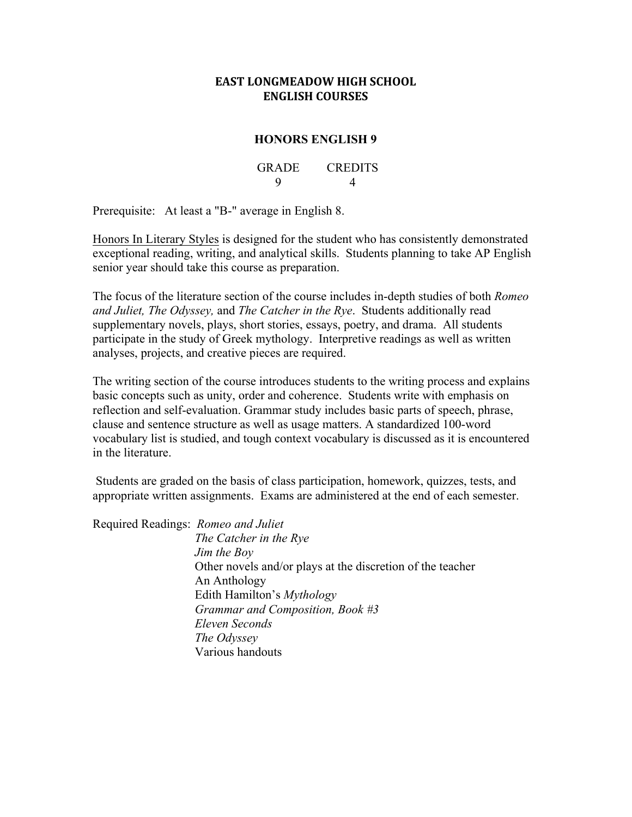# **EAST LONGMEADOW HIGH SCHOOL ENGLISH COURSES**

# **HONORS ENGLISH 9**

GRADE CREDITS 9 4

Prerequisite: At least a "B-" average in English 8.

Honors In Literary Styles is designed for the student who has consistently demonstrated exceptional reading, writing, and analytical skills. Students planning to take AP English senior year should take this course as preparation.

The focus of the literature section of the course includes in-depth studies of both *Romeo and Juliet, The Odyssey,* and *The Catcher in the Rye*. Students additionally read supplementary novels, plays, short stories, essays, poetry, and drama. All students participate in the study of Greek mythology. Interpretive readings as well as written analyses, projects, and creative pieces are required.

The writing section of the course introduces students to the writing process and explains basic concepts such as unity, order and coherence. Students write with emphasis on reflection and self-evaluation. Grammar study includes basic parts of speech, phrase, clause and sentence structure as well as usage matters. A standardized 100-word vocabulary list is studied, and tough context vocabulary is discussed as it is encountered in the literature.

Students are graded on the basis of class participation, homework, quizzes, tests, and appropriate written assignments. Exams are administered at the end of each semester.

Required Readings: *Romeo and Juliet*

 *The Catcher in the Rye Jim the Boy*  Other novels and/or plays at the discretion of the teacher An Anthology Edith Hamilton's *Mythology Grammar and Composition, Book #3 Eleven Seconds The Odyssey* Various handouts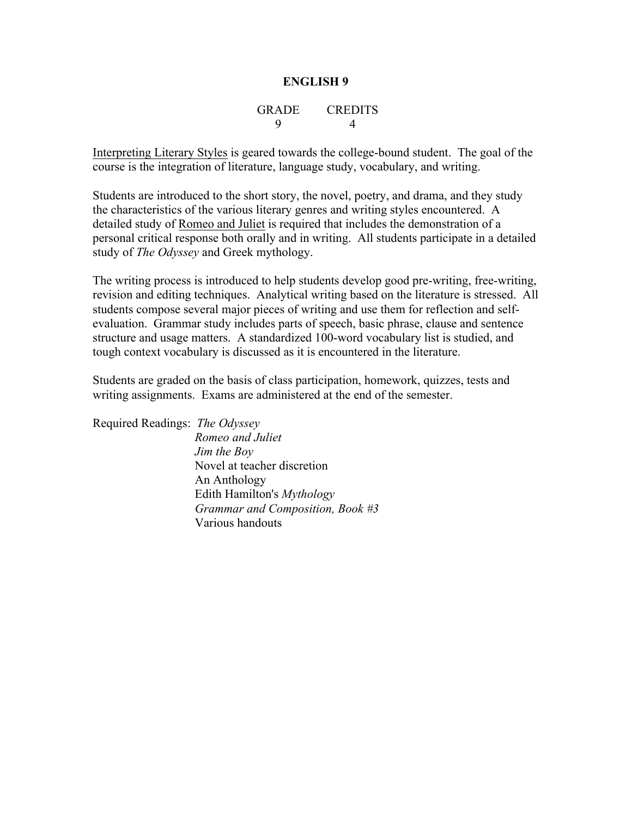# GRADE CREDITS 9 4

Interpreting Literary Styles is geared towards the college-bound student. The goal of the course is the integration of literature, language study, vocabulary, and writing.

Students are introduced to the short story, the novel, poetry, and drama, and they study the characteristics of the various literary genres and writing styles encountered. A detailed study of Romeo and Juliet is required that includes the demonstration of a personal critical response both orally and in writing. All students participate in a detailed study of *The Odyssey* and Greek mythology.

The writing process is introduced to help students develop good pre-writing, free-writing, revision and editing techniques. Analytical writing based on the literature is stressed. All students compose several major pieces of writing and use them for reflection and selfevaluation. Grammar study includes parts of speech, basic phrase, clause and sentence structure and usage matters. A standardized 100-word vocabulary list is studied, and tough context vocabulary is discussed as it is encountered in the literature.

Students are graded on the basis of class participation, homework, quizzes, tests and writing assignments. Exams are administered at the end of the semester.

Required Readings: *The Odyssey Romeo and Juliet*

*Jim the Boy* Novel at teacher discretion An Anthology Edith Hamilton's *Mythology Grammar and Composition, Book #3* Various handouts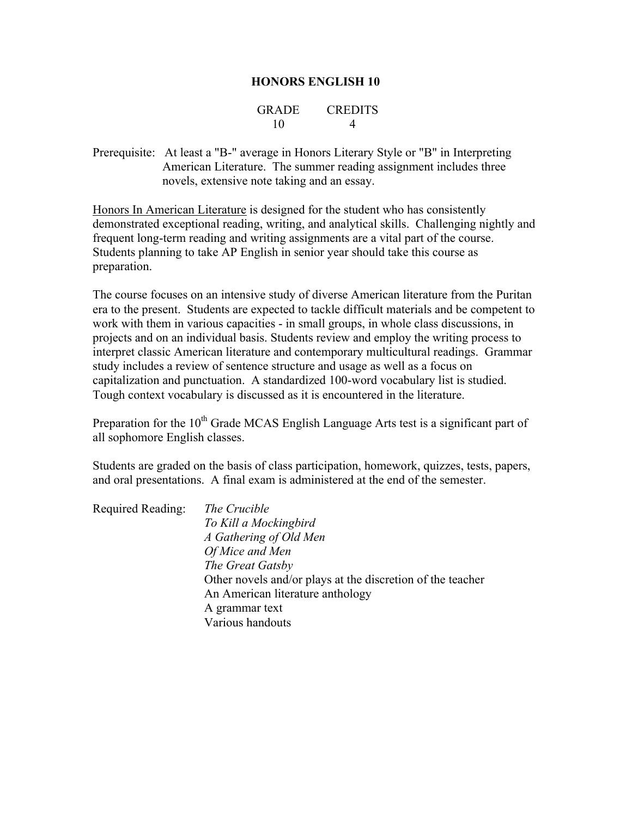## **HONORS ENGLISH 10**

## GRADE CREDITS 10 4

Prerequisite: At least a "B-" average in Honors Literary Style or "B" in Interpreting American Literature. The summer reading assignment includes three novels, extensive note taking and an essay.

Honors In American Literature is designed for the student who has consistently demonstrated exceptional reading, writing, and analytical skills. Challenging nightly and frequent long-term reading and writing assignments are a vital part of the course. Students planning to take AP English in senior year should take this course as preparation.

The course focuses on an intensive study of diverse American literature from the Puritan era to the present. Students are expected to tackle difficult materials and be competent to work with them in various capacities - in small groups, in whole class discussions, in projects and on an individual basis. Students review and employ the writing process to interpret classic American literature and contemporary multicultural readings. Grammar study includes a review of sentence structure and usage as well as a focus on capitalization and punctuation. A standardized 100-word vocabulary list is studied. Tough context vocabulary is discussed as it is encountered in the literature.

Preparation for the  $10<sup>th</sup>$  Grade MCAS English Language Arts test is a significant part of all sophomore English classes.

Students are graded on the basis of class participation, homework, quizzes, tests, papers, and oral presentations. A final exam is administered at the end of the semester.

| Required Reading: | The Crucible                                               |
|-------------------|------------------------------------------------------------|
|                   | To Kill a Mockingbird                                      |
|                   | A Gathering of Old Men                                     |
|                   | Of Mice and Men                                            |
|                   | The Great Gatsby                                           |
|                   | Other novels and/or plays at the discretion of the teacher |
|                   | An American literature anthology                           |
|                   | A grammar text                                             |
|                   | Various handouts                                           |
|                   |                                                            |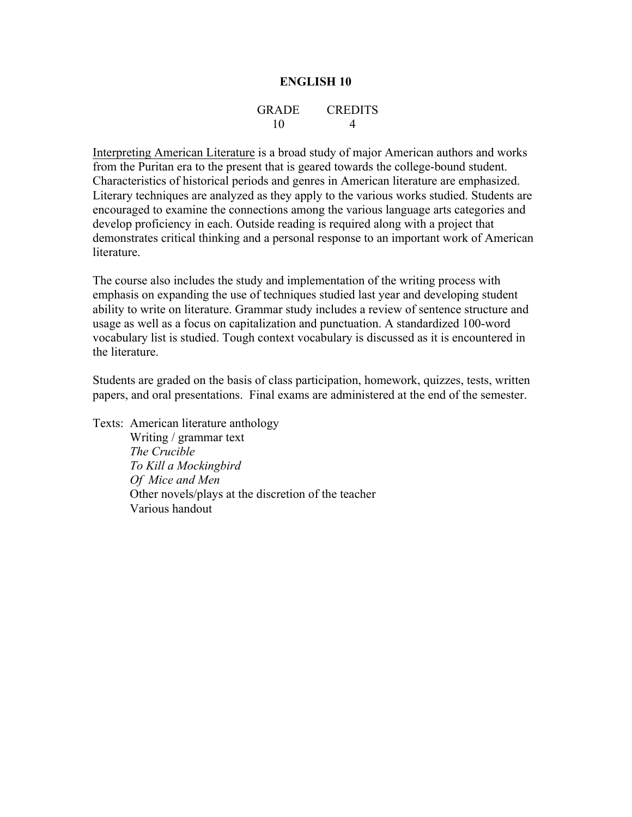## GRADE CREDITS 10 4

Interpreting American Literature is a broad study of major American authors and works from the Puritan era to the present that is geared towards the college-bound student. Characteristics of historical periods and genres in American literature are emphasized. Literary techniques are analyzed as they apply to the various works studied. Students are encouraged to examine the connections among the various language arts categories and develop proficiency in each. Outside reading is required along with a project that demonstrates critical thinking and a personal response to an important work of American literature.

The course also includes the study and implementation of the writing process with emphasis on expanding the use of techniques studied last year and developing student ability to write on literature. Grammar study includes a review of sentence structure and usage as well as a focus on capitalization and punctuation. A standardized 100-word vocabulary list is studied. Tough context vocabulary is discussed as it is encountered in the literature.

Students are graded on the basis of class participation, homework, quizzes, tests, written papers, and oral presentations. Final exams are administered at the end of the semester.

Texts: American literature anthology Writing / grammar text *The Crucible To Kill a Mockingbird Of Mice and Men* Other novels/plays at the discretion of the teacher Various handout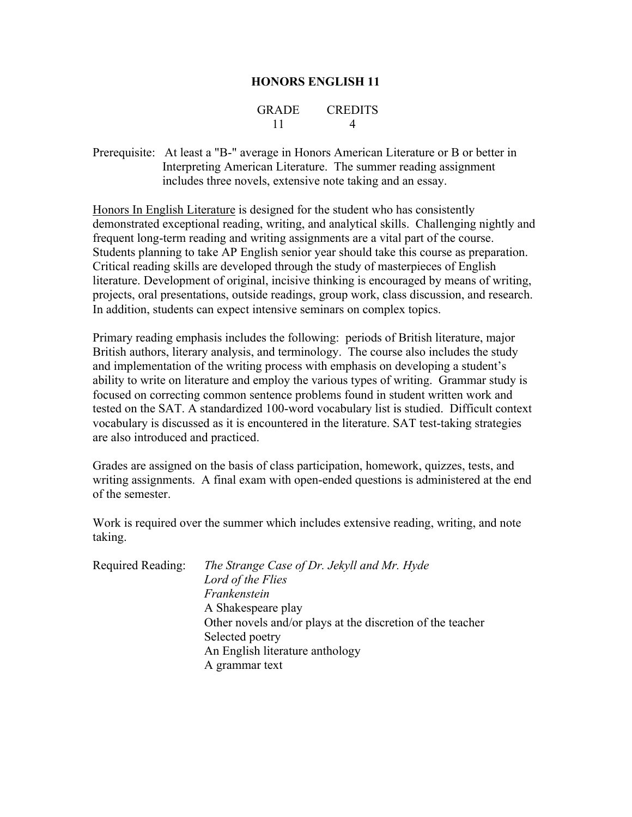## **HONORS ENGLISH 11**

## GRADE CREDITS 11 4

Prerequisite: At least a "B-" average in Honors American Literature or B or better in Interpreting American Literature. The summer reading assignment includes three novels, extensive note taking and an essay.

Honors In English Literature is designed for the student who has consistently demonstrated exceptional reading, writing, and analytical skills. Challenging nightly and frequent long-term reading and writing assignments are a vital part of the course. Students planning to take AP English senior year should take this course as preparation. Critical reading skills are developed through the study of masterpieces of English literature. Development of original, incisive thinking is encouraged by means of writing, projects, oral presentations, outside readings, group work, class discussion, and research. In addition, students can expect intensive seminars on complex topics.

Primary reading emphasis includes the following: periods of British literature, major British authors, literary analysis, and terminology. The course also includes the study and implementation of the writing process with emphasis on developing a student's ability to write on literature and employ the various types of writing. Grammar study is focused on correcting common sentence problems found in student written work and tested on the SAT. A standardized 100-word vocabulary list is studied. Difficult context vocabulary is discussed as it is encountered in the literature. SAT test-taking strategies are also introduced and practiced.

Grades are assigned on the basis of class participation, homework, quizzes, tests, and writing assignments. A final exam with open-ended questions is administered at the end of the semester.

Work is required over the summer which includes extensive reading, writing, and note taking.

| Required Reading: | The Strange Case of Dr. Jekyll and Mr. Hyde                |
|-------------------|------------------------------------------------------------|
|                   | Lord of the Flies                                          |
|                   | Frankenstein                                               |
|                   | A Shakespeare play                                         |
|                   | Other novels and/or plays at the discretion of the teacher |
|                   | Selected poetry                                            |
|                   | An English literature anthology                            |
|                   | A grammar text                                             |
|                   |                                                            |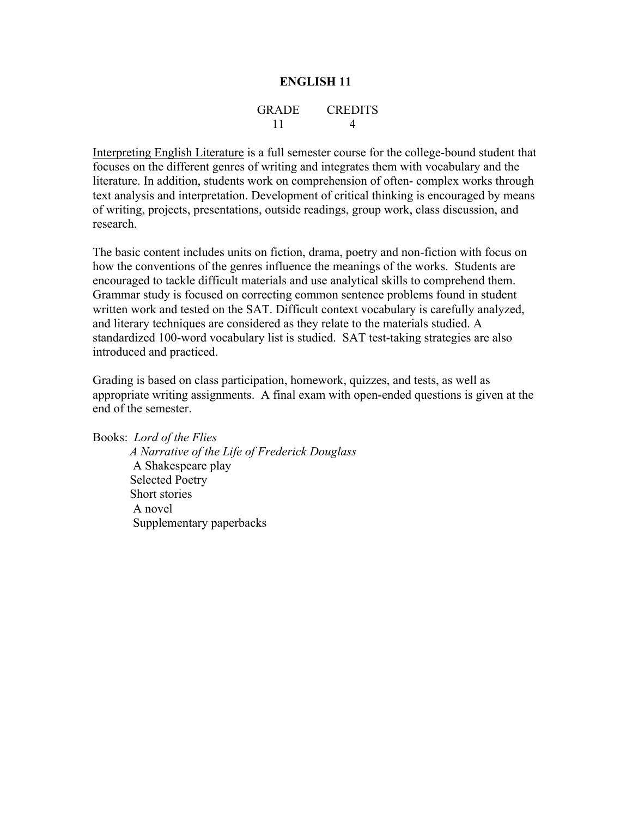## GRADE CREDITS 11 4

Interpreting English Literature is a full semester course for the college-bound student that focuses on the different genres of writing and integrates them with vocabulary and the literature. In addition, students work on comprehension of often- complex works through text analysis and interpretation. Development of critical thinking is encouraged by means of writing, projects, presentations, outside readings, group work, class discussion, and research.

The basic content includes units on fiction, drama, poetry and non-fiction with focus on how the conventions of the genres influence the meanings of the works. Students are encouraged to tackle difficult materials and use analytical skills to comprehend them. Grammar study is focused on correcting common sentence problems found in student written work and tested on the SAT. Difficult context vocabulary is carefully analyzed, and literary techniques are considered as they relate to the materials studied. A standardized 100-word vocabulary list is studied. SAT test-taking strategies are also introduced and practiced.

Grading is based on class participation, homework, quizzes, and tests, as well as appropriate writing assignments. A final exam with open-ended questions is given at the end of the semester.

Books: *Lord of the Flies A Narrative of the Life of Frederick Douglass* A Shakespeare play Selected Poetry Short stories A novel Supplementary paperbacks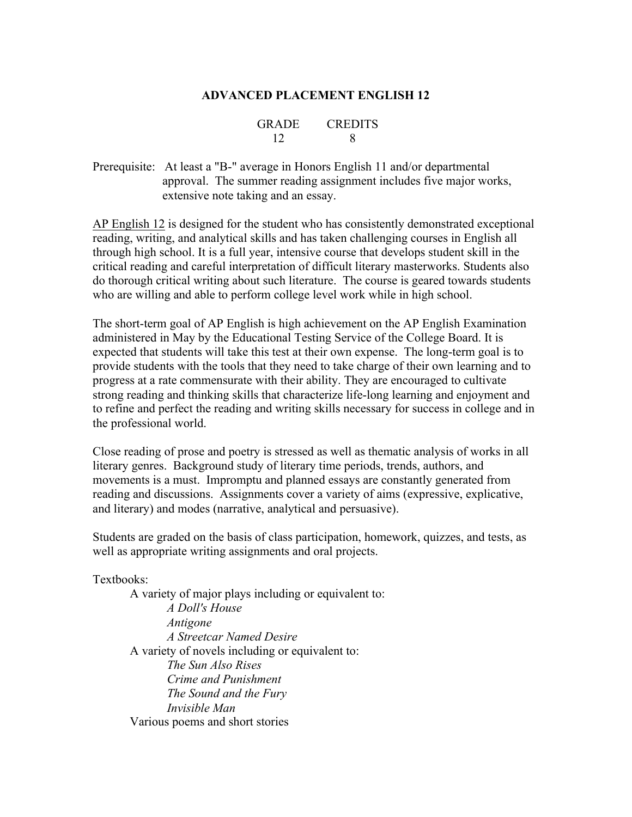## **ADVANCED PLACEMENT ENGLISH 12**

| GRADE | <b>CREDITS</b> |
|-------|----------------|
| 12    |                |

Prerequisite: At least a "B-" average in Honors English 11 and/or departmental approval. The summer reading assignment includes five major works, extensive note taking and an essay.

AP English 12 is designed for the student who has consistently demonstrated exceptional reading, writing, and analytical skills and has taken challenging courses in English all through high school. It is a full year, intensive course that develops student skill in the critical reading and careful interpretation of difficult literary masterworks. Students also do thorough critical writing about such literature. The course is geared towards students who are willing and able to perform college level work while in high school.

The short-term goal of AP English is high achievement on the AP English Examination administered in May by the Educational Testing Service of the College Board. It is expected that students will take this test at their own expense. The long-term goal is to provide students with the tools that they need to take charge of their own learning and to progress at a rate commensurate with their ability. They are encouraged to cultivate strong reading and thinking skills that characterize life-long learning and enjoyment and to refine and perfect the reading and writing skills necessary for success in college and in the professional world.

Close reading of prose and poetry is stressed as well as thematic analysis of works in all literary genres. Background study of literary time periods, trends, authors, and movements is a must. Impromptu and planned essays are constantly generated from reading and discussions. Assignments cover a variety of aims (expressive, explicative, and literary) and modes (narrative, analytical and persuasive).

Students are graded on the basis of class participation, homework, quizzes, and tests, as well as appropriate writing assignments and oral projects.

Textbooks:

A variety of major plays including or equivalent to: *A Doll's House Antigone A Streetcar Named Desire* A variety of novels including or equivalent to: *The Sun Also Rises Crime and Punishment The Sound and the Fury Invisible Man* Various poems and short stories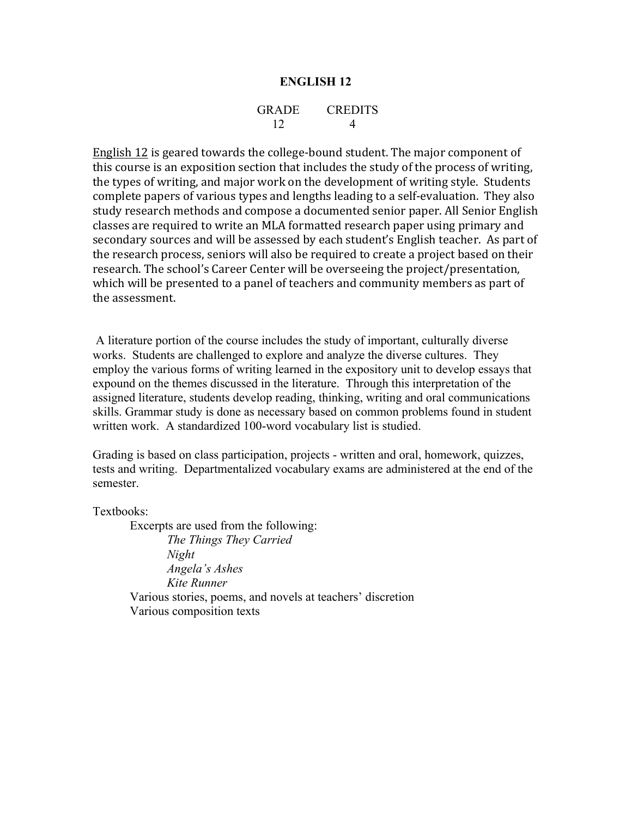#### GRADE CREDITS 12 4

English  $12$  is geared towards the college-bound student. The major component of this course is an exposition section that includes the study of the process of writing, the types of writing, and major work on the development of writing style. Students complete papers of various types and lengths leading to a self-evaluation. They also study research methods and compose a documented senior paper. All Senior English classes are required to write an MLA formatted research paper using primary and secondary sources and will be assessed by each student's English teacher. As part of the research process, seniors will also be required to create a project based on their research. The school's Career Center will be overseeing the project/presentation, which will be presented to a panel of teachers and community members as part of the assessment.

A literature portion of the course includes the study of important, culturally diverse works. Students are challenged to explore and analyze the diverse cultures. They employ the various forms of writing learned in the expository unit to develop essays that expound on the themes discussed in the literature. Through this interpretation of the assigned literature, students develop reading, thinking, writing and oral communications skills. Grammar study is done as necessary based on common problems found in student written work. A standardized 100-word vocabulary list is studied.

Grading is based on class participation, projects - written and oral, homework, quizzes, tests and writing. Departmentalized vocabulary exams are administered at the end of the semester.

Textbooks:

Excerpts are used from the following: *The Things They Carried Night Angela's Ashes Kite Runner* Various stories, poems, and novels at teachers' discretion Various composition texts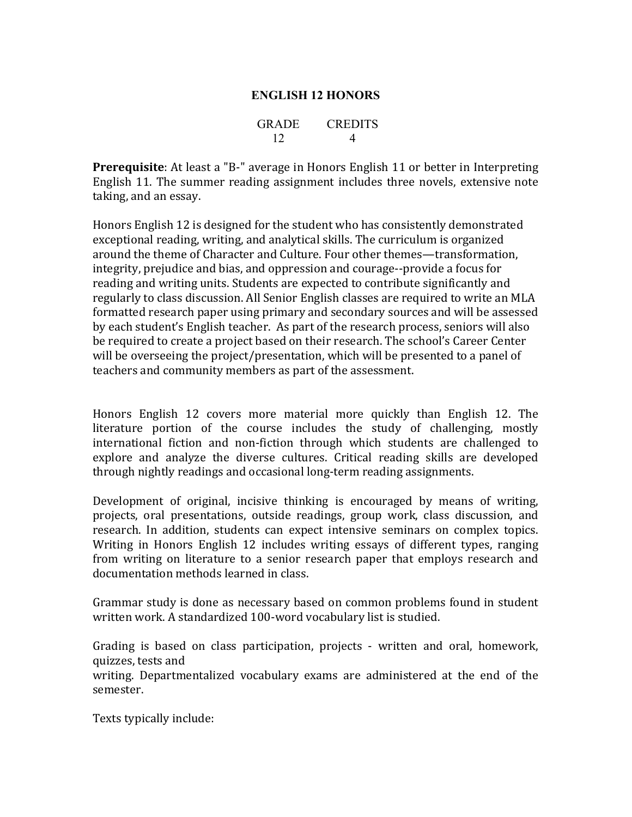# **ENGLISH 12 HONORS**

| GRADE | <b>CREDITS</b> |
|-------|----------------|
| 12    |                |

**Prerequisite**: At least a "B-" average in Honors English 11 or better in Interpreting English 11. The summer reading assignment includes three novels, extensive note taking, and an essay.

Honors English 12 is designed for the student who has consistently demonstrated exceptional reading, writing, and analytical skills. The curriculum is organized around the theme of Character and Culture. Four other themes—transformation, integrity, prejudice and bias, and oppression and courage--provide a focus for reading and writing units. Students are expected to contribute significantly and regularly to class discussion. All Senior English classes are required to write an MLA formatted research paper using primary and secondary sources and will be assessed by each student's English teacher. As part of the research process, seniors will also be required to create a project based on their research. The school's Career Center will be overseeing the project/presentation, which will be presented to a panel of teachers and community members as part of the assessment.

Honors English 12 covers more material more quickly than English 12. The literature portion of the course includes the study of challenging, mostly international fiction and non-fiction through which students are challenged to explore and analyze the diverse cultures. Critical reading skills are developed through nightly readings and occasional long-term reading assignments.

Development of original, incisive thinking is encouraged by means of writing, projects, oral presentations, outside readings, group work, class discussion, and research. In addition, students can expect intensive seminars on complex topics. Writing in Honors English 12 includes writing essays of different types, ranging from writing on literature to a senior research paper that employs research and documentation methods learned in class.

Grammar study is done as necessary based on common problems found in student written work. A standardized 100-word vocabulary list is studied.

Grading is based on class participation, projects - written and oral, homework, quizzes, tests and

writing. Departmentalized vocabulary exams are administered at the end of the semester.

Texts typically include: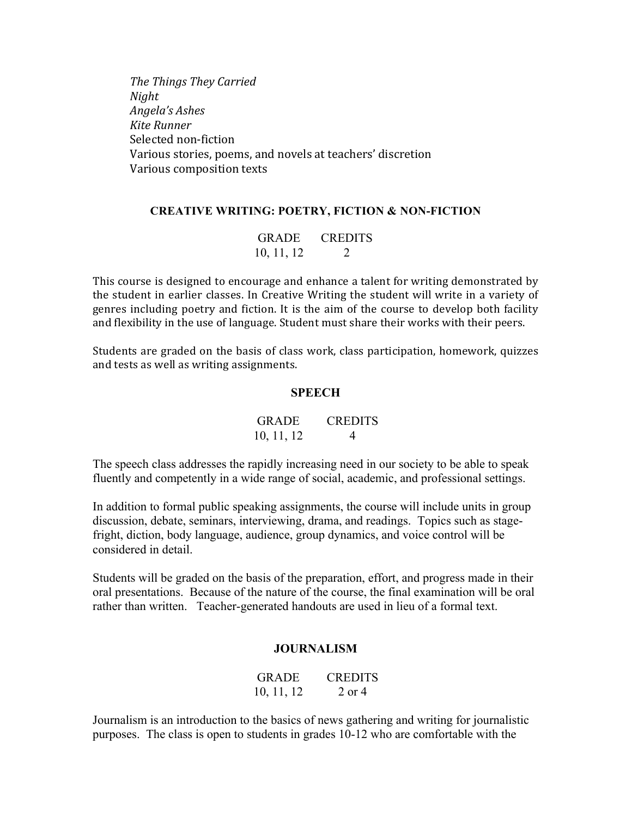*The Things They Carried Night Angela's Ashes Kite Runner* Selected non-fiction Various stories, poems, and novels at teachers' discretion Various composition texts

## **CREATIVE WRITING: POETRY, FICTION & NON-FICTION**

## GRADE CREDITS 10, 11, 12 2

This course is designed to encourage and enhance a talent for writing demonstrated by the student in earlier classes. In Creative Writing the student will write in a variety of genres including poetry and fiction. It is the aim of the course to develop both facility and flexibility in the use of language. Student must share their works with their peers.

Students are graded on the basis of class work, class participation, homework, quizzes and tests as well as writing assignments.

#### **SPEECH**

| <b>GRADE</b> | <b>CREDITS</b> |
|--------------|----------------|
| 10, 11, 12   | $\overline{4}$ |

The speech class addresses the rapidly increasing need in our society to be able to speak fluently and competently in a wide range of social, academic, and professional settings.

In addition to formal public speaking assignments, the course will include units in group discussion, debate, seminars, interviewing, drama, and readings. Topics such as stagefright, diction, body language, audience, group dynamics, and voice control will be considered in detail.

Students will be graded on the basis of the preparation, effort, and progress made in their oral presentations. Because of the nature of the course, the final examination will be oral rather than written. Teacher-generated handouts are used in lieu of a formal text.

#### **JOURNALISM**

| <b>GRADE</b> | <b>CREDITS</b> |
|--------------|----------------|
| 10, 11, 12   | $2$ or $4$     |

Journalism is an introduction to the basics of news gathering and writing for journalistic purposes. The class is open to students in grades 10-12 who are comfortable with the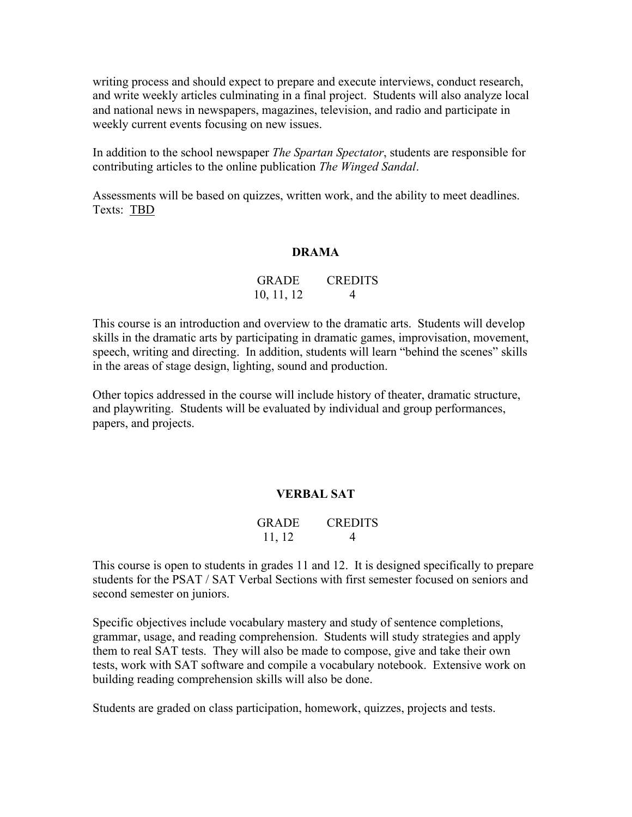writing process and should expect to prepare and execute interviews, conduct research, and write weekly articles culminating in a final project. Students will also analyze local and national news in newspapers, magazines, television, and radio and participate in weekly current events focusing on new issues.

In addition to the school newspaper *The Spartan Spectator*, students are responsible for contributing articles to the online publication *The Winged Sandal*.

Assessments will be based on quizzes, written work, and the ability to meet deadlines. Texts: TBD

### **DRAMA**

| <b>GRADE</b> | <b>CREDITS</b> |
|--------------|----------------|
| 10, 11, 12   | 4              |

This course is an introduction and overview to the dramatic arts. Students will develop skills in the dramatic arts by participating in dramatic games, improvisation, movement, speech, writing and directing. In addition, students will learn "behind the scenes" skills in the areas of stage design, lighting, sound and production.

Other topics addressed in the course will include history of theater, dramatic structure, and playwriting. Students will be evaluated by individual and group performances, papers, and projects.

## **VERBAL SAT**

## GRADE CREDITS  $11, 12$  4

This course is open to students in grades 11 and 12. It is designed specifically to prepare students for the PSAT / SAT Verbal Sections with first semester focused on seniors and second semester on juniors.

Specific objectives include vocabulary mastery and study of sentence completions, grammar, usage, and reading comprehension. Students will study strategies and apply them to real SAT tests. They will also be made to compose, give and take their own tests, work with SAT software and compile a vocabulary notebook. Extensive work on building reading comprehension skills will also be done.

Students are graded on class participation, homework, quizzes, projects and tests.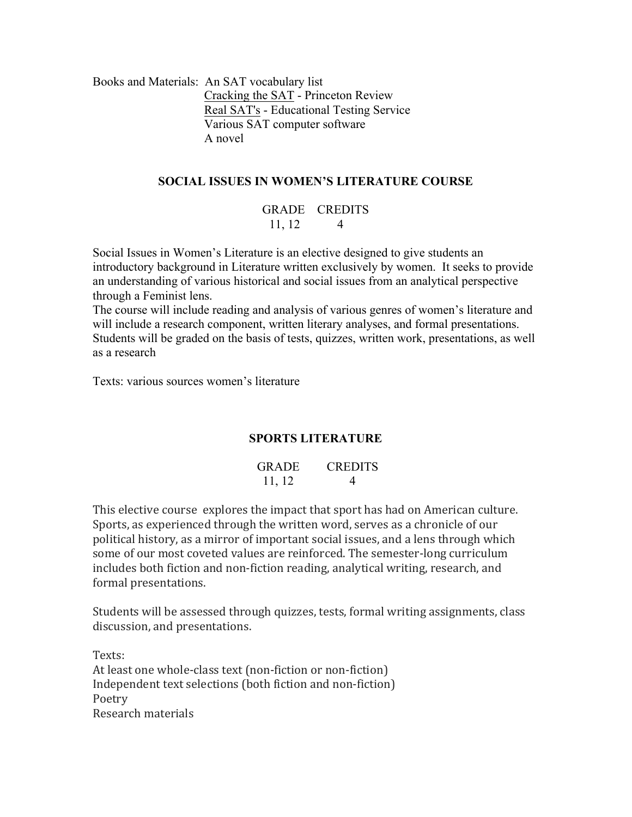Books and Materials: An SAT vocabulary list Cracking the SAT - Princeton Review Real SAT's - Educational Testing Service Various SAT computer software A novel

# **SOCIAL ISSUES IN WOMEN'S LITERATURE COURSE**

## GRADE CREDITS  $11, 12$  4

Social Issues in Women's Literature is an elective designed to give students an introductory background in Literature written exclusively by women. It seeks to provide an understanding of various historical and social issues from an analytical perspective through a Feminist lens.

The course will include reading and analysis of various genres of women's literature and will include a research component, written literary analyses, and formal presentations. Students will be graded on the basis of tests, quizzes, written work, presentations, as well as a research

Texts: various sources women's literature

# **SPORTS LITERATURE**

| GRADE  | <b>CREDITS</b> |
|--------|----------------|
| 11, 12 |                |

This elective course explores the impact that sport has had on American culture. Sports, as experienced through the written word, serves as a chronicle of our political history, as a mirror of important social issues, and a lens through which some of our most coveted values are reinforced. The semester-long curriculum includes both fiction and non-fiction reading, analytical writing, research, and formal presentations.

Students will be assessed through quizzes, tests, formal writing assignments, class discussion, and presentations.

Texts: At least one whole-class text (non-fiction or non-fiction) Independent text selections (both fiction and non-fiction) Poetry Research materials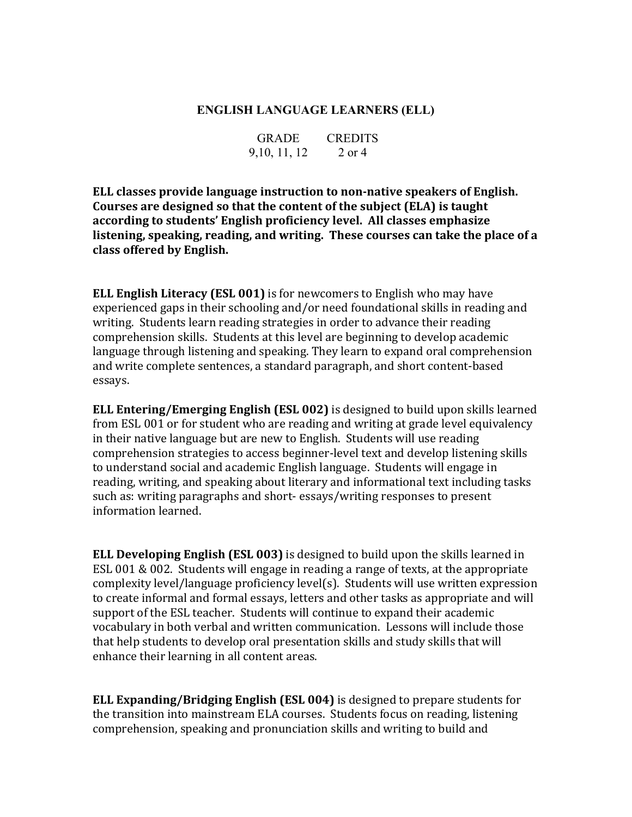## **ENGLISH LANGUAGE LEARNERS (ELL)**

| <b>GRADE</b>  | <b>CREDITS</b> |
|---------------|----------------|
| 9, 10, 11, 12 | 2 or 4         |

**ELL classes provide language instruction to non-native speakers of English.** Courses are designed so that the content of the subject (ELA) is taught according to students' English proficiency level. All classes emphasize listening, speaking, reading, and writing. These courses can take the place of a **class offered by English.**

**ELL English Literacy (ESL 001)** is for newcomers to English who may have experienced gaps in their schooling and/or need foundational skills in reading and writing. Students learn reading strategies in order to advance their reading comprehension skills. Students at this level are beginning to develop academic language through listening and speaking. They learn to expand oral comprehension and write complete sentences, a standard paragraph, and short content-based essays.

**ELL Entering/Emerging English (ESL 002)** is designed to build upon skills learned from ESL 001 or for student who are reading and writing at grade level equivalency in their native language but are new to English. Students will use reading comprehension strategies to access beginner-level text and develop listening skills to understand social and academic English language. Students will engage in reading, writing, and speaking about literary and informational text including tasks such as: writing paragraphs and short- essays/writing responses to present information learned.

**ELL Developing English (ESL 003)** is designed to build upon the skills learned in ESL 001 & 002. Students will engage in reading a range of texts, at the appropriate complexity level/language proficiency level(s). Students will use written expression to create informal and formal essays, letters and other tasks as appropriate and will support of the ESL teacher. Students will continue to expand their academic vocabulary in both verbal and written communication. Lessons will include those that help students to develop oral presentation skills and study skills that will enhance their learning in all content areas.

**ELL Expanding/Bridging English (ESL 004)** is designed to prepare students for the transition into mainstream ELA courses. Students focus on reading, listening comprehension, speaking and pronunciation skills and writing to build and